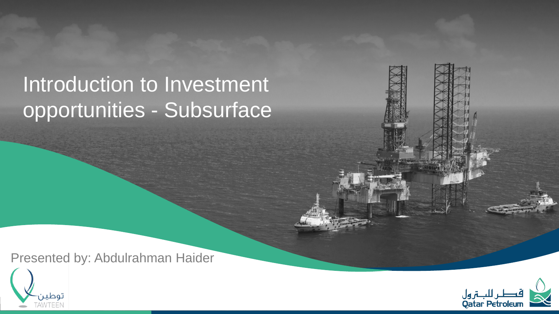## Introduction to Investment opportunities - Subsurface

Presented by: Abdulrahman Haider



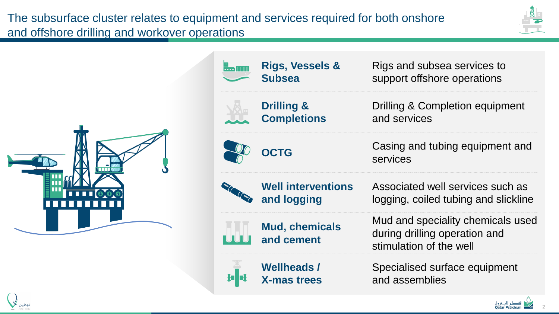The subsurface cluster relates to equipment and services required for both onshore and offshore drilling and workover operations

**X-mas trees**





**Rigs, Vessels &**  Rigs and subsea services to  $\frac{1}{\cdots}$  mm support offshore operations **Subsea Drilling &**  Drilling & Completion equipment **Completions** and services **OCTG** Casing and tubing equipment and services**Well interventions**  Associated well services such as **and logging** logging, coiled tubing and slickline Mud and speciality chemicals used **Mud, chemicals**  during drilling operation and **and cement** stimulation of the well **Wellheads /**  Specialised surface equipment

and assemblies

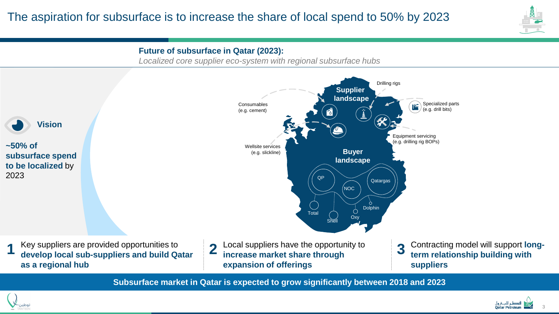



**Subsurface market in Qatar is expected to grow significantly between 2018 and 2023**



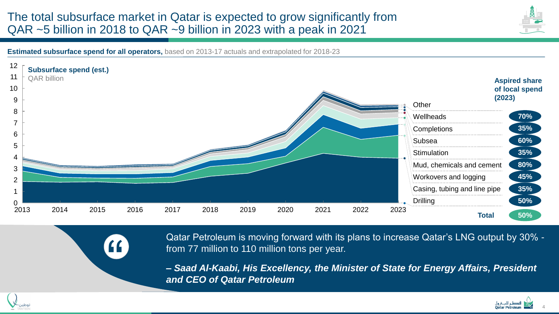## The total subsurface market in Qatar is expected to grow significantly from QAR ~5 billion in 2018 to QAR ~9 billion in 2023 with a peak in 2021



**Estimated subsurface spend for all operators,** based on 2013-17 actuals and extrapolated for 2018-23

"



Qatar Petroleum is moving forward with its plans to increase Qatar's LNG output by 30% from 77 million to 110 million tons per year.

*– Saad Al-Kaabi, His Excellency, the Minister of State for Energy Affairs, President and CEO of Qatar Petroleum*



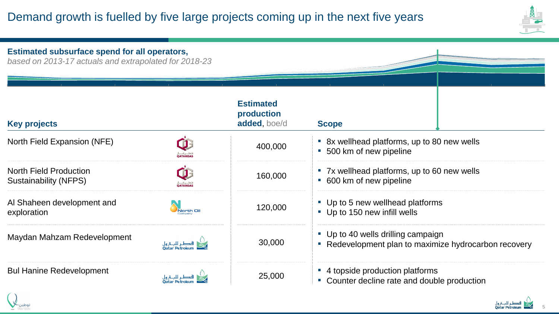